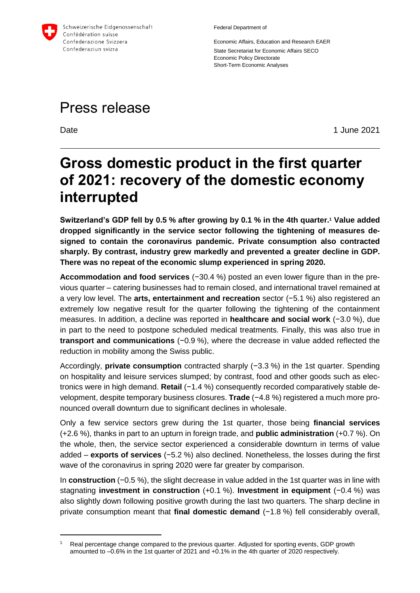

Federal Department of

Economic Affairs, Education and Research EAER State Secretariat for Economic Affairs SECO Economic Policy Directorate Short-Term Economic Analyses

# Press release

-

Date 2021

# **Gross domestic product in the first quarter of 2021: recovery of the domestic economy interrupted**

**Switzerland's GDP fell by 0.5 % after growing by 0.1 % in the 4th quarter.<sup>1</sup> Value added dropped significantly in the service sector following the tightening of measures designed to contain the coronavirus pandemic. Private consumption also contracted sharply. By contrast, industry grew markedly and prevented a greater decline in GDP. There was no repeat of the economic slump experienced in spring 2020.**

**Accommodation and food services** (−30.4 %) posted an even lower figure than in the previous quarter – catering businesses had to remain closed, and international travel remained at a very low level. The **arts, entertainment and recreation** sector (−5.1 %) also registered an extremely low negative result for the quarter following the tightening of the containment measures. In addition, a decline was reported in **healthcare and social work** (−3.0 %), due in part to the need to postpone scheduled medical treatments. Finally, this was also true in **transport and communications** (−0.9 %), where the decrease in value added reflected the reduction in mobility among the Swiss public.

Accordingly, **private consumption** contracted sharply (−3.3 %) in the 1st quarter. Spending on hospitality and leisure services slumped; by contrast, food and other goods such as electronics were in high demand. **Retail** (−1.4 %) consequently recorded comparatively stable development, despite temporary business closures. **Trade** (−4.8 %) registered a much more pronounced overall downturn due to significant declines in wholesale.

Only a few service sectors grew during the 1st quarter, those being **financial services** (+2.6 %), thanks in part to an upturn in foreign trade, and **public administration** (+0.7 %). On the whole, then, the service sector experienced a considerable downturn in terms of value added – **exports of services** (−5.2 %) also declined. Nonetheless, the losses during the first wave of the coronavirus in spring 2020 were far greater by comparison.

In **construction** (−0.5 %), the slight decrease in value added in the 1st quarter was in line with stagnating **investment in construction** (+0.1 %). **Investment in equipment** (−0.4 %) was also slightly down following positive growth during the last two quarters. The sharp decline in private consumption meant that final domestic demand (-1.8 %) fell considerably overall,

<sup>&</sup>lt;sup>1</sup> Real percentage change compared to the previous quarter. Adjusted for sporting events, GDP growth amounted to –0.6% in the 1st quarter of 2021 and +0.1% in the 4th quarter of 2020 respectively.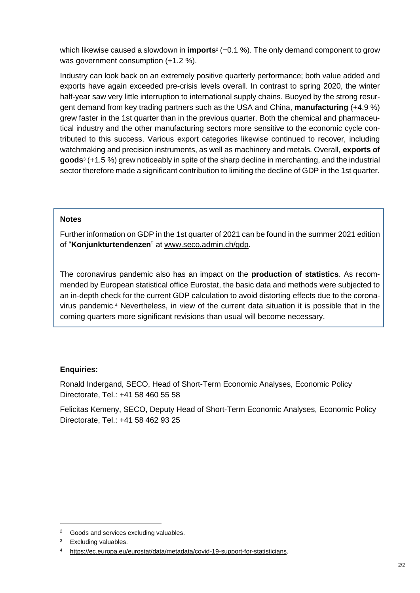which likewise caused a slowdown in **imports**<sup>2</sup> (−0.1 %). The only demand component to grow was government consumption (+1.2 %).

Industry can look back on an extremely positive quarterly performance; both value added and exports have again exceeded pre-crisis levels overall. In contrast to spring 2020, the winter half-year saw very little interruption to international supply chains. Buoyed by the strong resurgent demand from key trading partners such as the USA and China, **manufacturing** (+4.9 %) grew faster in the 1st quarter than in the previous quarter. Both the chemical and pharmaceutical industry and the other manufacturing sectors more sensitive to the economic cycle contributed to this success. Various export categories likewise continued to recover, including watchmaking and precision instruments, as well as machinery and metals. Overall, **exports of goods**<sup>3</sup> (+1.5 %) grew noticeably in spite of the sharp decline in merchanting, and the industrial sector therefore made a significant contribution to limiting the decline of GDP in the 1st quarter.

## **Notes**

Further information on GDP in the 1st quarter of 2021 can be found in the summer 2021 edition of "**Konjunkturtendenzen**" at [www.seco.admin.ch/gdp.](http://www.seco.admin.ch/gdp)

The coronavirus pandemic also has an impact on the **production of statistics**. As recommended by European statistical office Eurostat, the basic data and methods were subjected to an in-depth check for the current GDP calculation to avoid distorting effects due to the coronavirus pandemic.<sup>4</sup> Nevertheless, in view of the current data situation it is possible that in the coming quarters more significant revisions than usual will become necessary.

## **Enquiries:**

Ronald Indergand, SECO, Head of Short-Term Economic Analyses, Economic Policy Directorate, Tel.: +41 58 460 55 58

Felicitas Kemeny, SECO, Deputy Head of Short-Term Economic Analyses, Economic Policy Directorate, Tel.: +41 58 462 93 25

1

<sup>2</sup> Goods and services excluding valuables.

Excluding valuables.

[https://ec.europa.eu/eurostat/data/metadata/covid-19-support-for-statisticians.](https://ec.europa.eu/eurostat/data/metadata/covid-19-support-for-statisticians)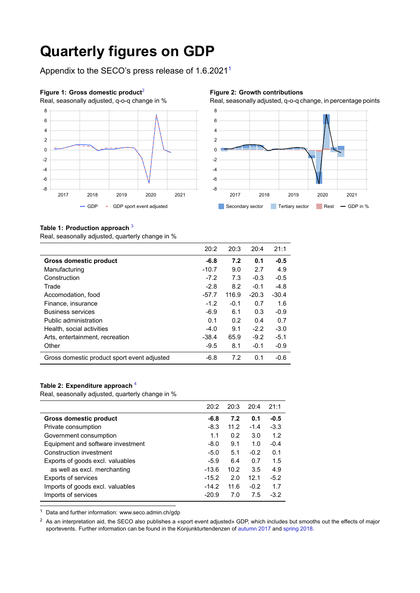# **Quarterly figures on GDP**

Appendix to the SECO's press release of 1.6.20211



#### **Figure 2: Growth contributions**

Real, seasonally adjusted, q-o-q change, in percentage points



### **Table 1: Production approach** <sup>3</sup>

Real, seasonally adjusted, quarterly change in %

|                                             | 20:2    | 20:3   | 20:4    | 21:1    |
|---------------------------------------------|---------|--------|---------|---------|
| Gross domestic product                      | $-6.8$  | 7.2    | 0.1     | $-0.5$  |
| Manufacturing                               | $-10.7$ | 9.0    | 2.7     | 4.9     |
| Construction                                | $-7.2$  | 7.3    | $-0.3$  | $-0.5$  |
| Trade                                       | $-2.8$  | 8.2    | $-0.1$  | $-4.8$  |
| Accomodation, food                          | $-57.7$ | 116.9  | $-20.3$ | $-30.4$ |
| Finance, insurance                          | $-1.2$  | $-0.1$ | 0.7     | 1.6     |
| <b>Business services</b>                    | $-6.9$  | 6.1    | 0.3     | $-0.9$  |
| Public administration                       | 0.1     | 0.2    | 0.4     | 0.7     |
| Health, social activities                   | $-4.0$  | 9.1    | $-2.2$  | $-3.0$  |
| Arts, entertainment, recreation             | $-38.4$ | 65.9   | $-9.2$  | $-5.1$  |
| Other                                       | $-9.5$  | 8.1    | $-0.1$  | $-0.9$  |
| Gross domestic product sport event adjusted | -6.8    | 7.2    | 0.1     | $-0.6$  |

### **Table 2: Expenditure approach** <sup>4</sup>

Real, seasonally adjusted, quarterly change in %

|                                   | 20:2    | 20:3 | 20:4   | 21:1   |
|-----------------------------------|---------|------|--------|--------|
| Gross domestic product            | -6.8    | 7.2  | 0.1    | $-0.5$ |
| Private consumption               | $-8.3$  | 11.2 | $-1.4$ | $-3.3$ |
| Government consumption            | 1.1     | 0.2  | 3.0    | 1.2    |
| Equipment and software investment | $-8.0$  | 9.1  | 1.0    | $-0.4$ |
| Construction investment           | $-5.0$  | 5.1  | $-0.2$ | 0.1    |
| Exports of goods excl. valuables  | $-5.9$  | 6.4  | 0.7    | 1.5    |
| as well as excl. merchanting      | $-13.6$ | 10.2 | 3.5    | 4.9    |
| <b>Exports of services</b>        | $-15.2$ | 2.0  | 12.1   | $-5.2$ |
| Imports of goods excl. valuables  | $-14.2$ | 11.6 | $-0.2$ | 1.7    |
| Imports of services               | $-20.9$ | 7.0  | 7.5    | $-3.2$ |

<sup>1</sup> Data and further information: www.seco.admin.ch/gdp

 $<sup>2</sup>$  As an interpretation aid, the SECO also publishes a «sport event adjusted» GDP, which includes but smooths out the effects of major</sup> sportevents. Further information can be found in the Konjunkturtendenzen of [autumn 2017](https://www.seco.admin.ch/seco/de/home/Publikationen_Dienstleistungen/Publikationen_und_Formulare/konjunkturtendenz/konjunkturtendenzen_herbst_17.html) and [spring 2018](https://www.seco.admin.ch/seco/de/home/Publikationen_Dienstleistungen/Publikationen_und_Formulare/konjunkturtendenz/konjunkturtendenzen-fruehjahr-2018.html).